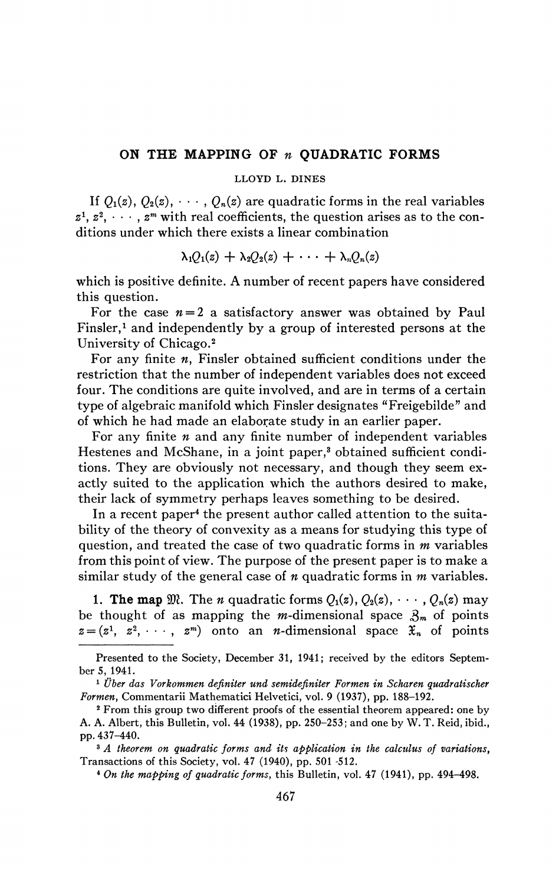## **ON THE MAPPING OF** *n* **QUADRATIC FORMS**

## **LLOYD L. DINES**

If  $Q_1(z)$ ,  $Q_2(z)$ ,  $\cdots$ ,  $Q_n(z)$  are quadratic forms in the real variables  $z^1, z^2, \dots, z^m$  with real coefficients, the question arises as to the conditions under which there exists a linear combination

$$
\lambda_1Q_1(z) + \lambda_2Q_2(z) + \cdots + \lambda_nQ_n(z)
$$

which is positive definite. A number of recent papers have considered this question.

For the case  $n=2$  a satisfactory answer was obtained by Paul Finsler,<sup>1</sup> and independently by a group of interested persons at the University of Chicago.<sup>2</sup>

For any finite *n,* Finsler obtained sufficient conditions under the restriction that the number of independent variables does not exceed four. The conditions are quite involved, and are in terms of a certain type of algebraic manifold which Finsler designates "Freigebilde" and of which he had made an elaborate study in an earlier paper.

For any finite *n* and any finite number of independent variables Hestenes and McShane, in a joint paper,<sup>3</sup> obtained sufficient conditions. They are obviously not necessary, and though they seem exactly suited to the application which the authors desired to make, their lack of symmetry perhaps leaves something to be desired.

In a recent paper<sup>4</sup> the present author called attention to the suitability of the theory of convexity as a means for studying this type of question, and treated the case of two quadratic forms in *m* variables from this point of view. The purpose of the present paper is to make a similar study of the general case of *n* quadratic forms in *m* variables.

1. The map  $\mathfrak{M}$ . The *n* quadratic forms  $Q_1(z)$ ,  $Q_2(z)$ ,  $\cdots$ ,  $Q_n(z)$  may be thought of as mapping the *m*-dimensional space  $\mathcal{S}_m$  of points  $z = (z^1, z^2, \dots, z^m)$  onto an *n*-dimensional space  $\mathfrak{X}_n$  of points

<sup>3</sup> A theorem on quadratic forms and its application in the calculus of variations, Transactions of this Society, vol. 47 (1940), pp. 501 -512.

4  *On the mapping of quadratic forms,* this Bulletin, vol. 47 (1941), pp. 494-498.

Presented to the Society, December 31, 1941; received by the editors September 5, 1941.

<sup>1</sup>  *Über das Vorkommen definiter und semidefiniter Formen in Scharen quadratischer Formen,* Commentarii Mathematici Helvetici, vol. 9 (1937), pp. 188-192.

<sup>2</sup> From this group two different proofs of the essential theorem appeared: one by A. A. Albert, this Bulletin, vol. 44 (1938), pp. 250-253; and one by W. T. Reid, ibid., pp.437-440.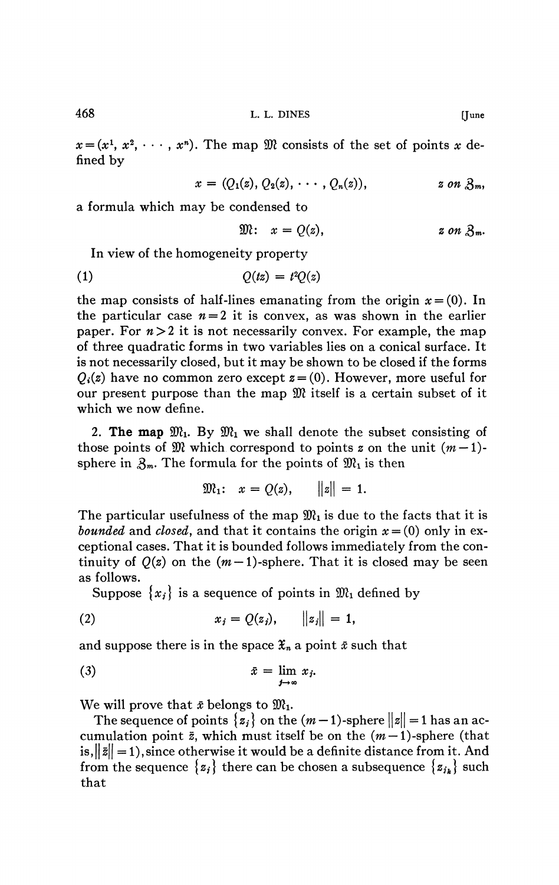468 **L. L. DINES [June** 

 $x = (x^1, x^2, \dots, x^n)$ . The map  $\mathfrak{M}$  consists of the set of points x defined by

$$
x = (Q_1(z), Q_2(z), \cdots, Q_n(z)), \qquad z \text{ on } \mathfrak{Z}_m,
$$

a formula which may be condensed to

$$
\mathfrak{M}: \quad x = Q(z), \qquad z \text{ on } \mathfrak{Z}_m.
$$

In view of the homogeneity property

$$
(1) \tQ(tz) = t^2 Q(z)
$$

the map consists of half-lines emanating from the origin  $x = (0)$ . In the particular case  $n = 2$  it is convex, as was shown in the earlier paper. For  $n > 2$  it is not necessarily convex. For example, the map of three quadratic forms in two variables lies on a conical surface. It is not necessarily closed, but it may be shown to be closed if the forms  $Q_i(z)$  have no common zero except  $z = (0)$ . However, more useful for our present purpose than the map  $\mathfrak{M}$  itself is a certain subset of it which we now define.

2. **The map**  $\mathfrak{M}_1$ . By  $\mathfrak{M}_1$  we shall denote the subset consisting of those points of  $\mathfrak{M}$  which correspond to points z on the unit  $(m-1)$ sphere in  $\mathfrak{Z}_m$ . The formula for the points of  $\mathfrak{M}_1$  is then

$$
\mathfrak{M}_1: \quad x = Q(z), \qquad ||z|| = 1.
$$

The particular usefulness of the map  $\mathfrak{M}_1$  is due to the facts that it is *bounded* and *closed,* and that it contains the origin *x* = (0) only in exceptional cases. That it is bounded follows immediately from the continuity of  $Q(z)$  on the  $(m-1)$ -sphere. That it is closed may be seen as follows.

Suppose  $\{x_i\}$  is a sequence of points in  $\mathfrak{M}_1$  defined by

(2) 
$$
x_j = Q(z_j), \quad ||z_j|| = 1,
$$

and suppose there is in the space  $\mathfrak{X}_n$  a point  $\bar{x}$  such that

$$
\bar{x} = \lim_{j \to \infty} x_j.
$$

We will prove that  $\bar{x}$  belongs to  $\mathfrak{M}_1$ .

The sequence of points  $\{z_i\}$  on the  $(m-1)$ -sphere  $||z|| = 1$  has an accumulation point  $\bar{z}$ , which must itself be on the  $(m-1)$ -sphere (that is, $||\bar{z}|| = 1$ , since otherwise it would be a definite distance from it. And from the sequence  $\{z_i\}$  there can be chosen a subsequence  $\{z_{i_k}\}$  such that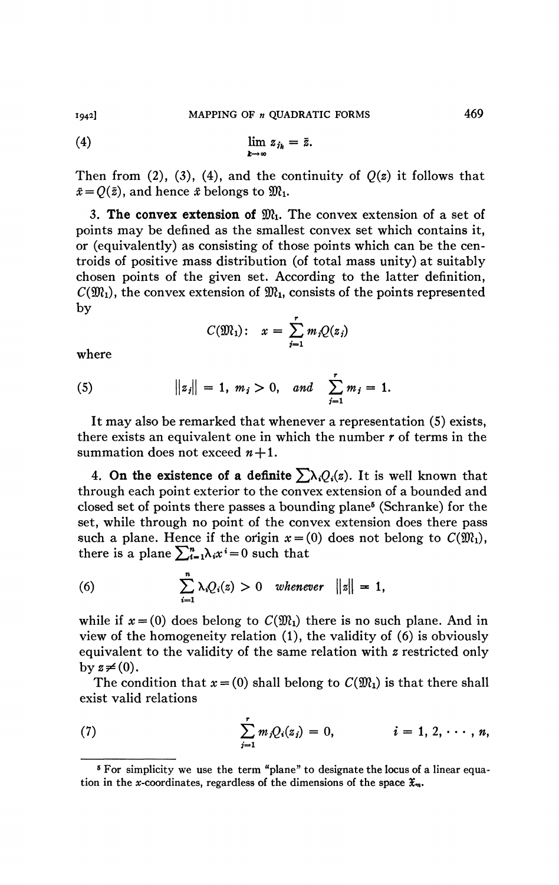(4) 
$$
\lim_{k\to\infty}z_{j_k}=\bar{z}.
$$

Then from (2), (3), (4), and the continuity of  $O(z)$  it follows that  $\bar{x} = O(\bar{z})$ , and hence  $\bar{x}$  belongs to  $\mathfrak{M}_1$ .

3. The convex extension of  $\mathfrak{M}_1$ . The convex extension of a set of points may be defined as the smallest convex set which contains it, or (equivalently) as consisting of those points which can be the centroids of positive mass distribution (of total mass unity) at suitably chosen points of the given set. According to the latter definition,  $C(\mathfrak{M}_1)$ , the convex extension of  $\mathfrak{M}_1$ , consists of the points represented  $\mathbf{b} \mathbf{v}$ 

$$
C(\mathfrak{M}_1): \quad x = \sum_{j=1}^r m_j Q(z_j)
$$

where

(5) 
$$
||z_j|| = 1, m_j > 0, and \sum_{j=1}^r m_j = 1.
$$

It may also be remarked that whenever a representation (5) exists, there exists an equivalent one in which the number *r* of terms in the summation does not exceed  $n+1$ .

4. On the existence of a definite  $\sum_{i} \lambda_i Q_i(z)$ . It is well known that through each point exterior to the convex extension of a bounded and closed set of points there passes a bounding plane<sup>5</sup> (Schranke) for the set, while through no point of the convex extension does there pass such a plane. Hence if the origin  $x = (0)$  does not belong to  $C(\mathfrak{M}_1)$ , there is a plane  $\sum_{i=1}^{n} \lambda_i x^i = 0$  such that

(6) 
$$
\sum_{i=1}^{n} \lambda_i Q_i(z) > 0 \quad \text{whenever} \quad ||z|| = 1,
$$

while if  $x = (0)$  does belong to  $C(\mathfrak{M}_1)$  there is no such plane. And in view of the homogeneity relation (1), the validity of (6) is obviously equivalent to the validity of the same relation with *z* restricted only by  $z\neq(0)$ .

The condition that  $x = (0)$  shall belong to  $C(\mathfrak{M}_1)$  is that there shall exist valid relations

(7) 
$$
\sum_{j=1}^r m_j Q_i(z_j) = 0, \qquad i = 1, 2, \cdots, n,
$$

<sup>&</sup>lt;sup>5</sup> For simplicity we use the term "plane" to designate the locus of a linear equation in the *x*-coordinates, regardless of the dimensions of the space  $\mathfrak{X}_m$ .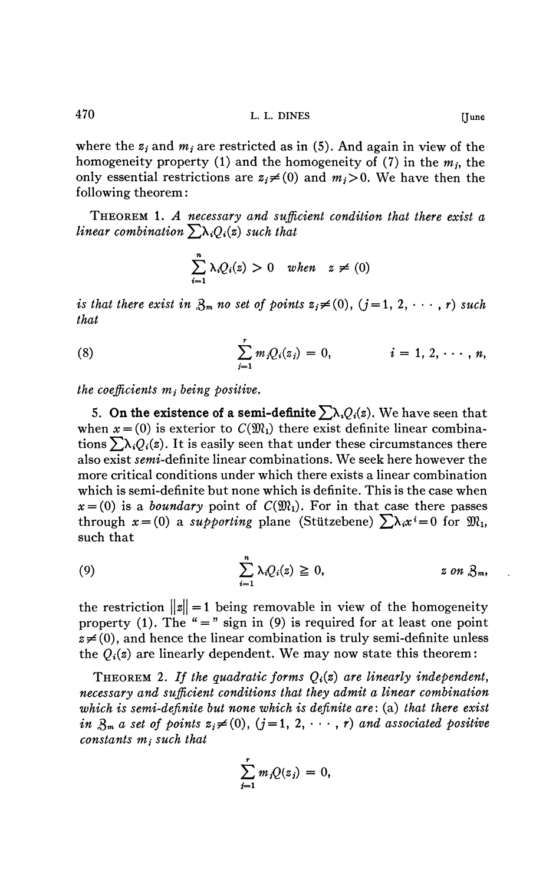where the  $z_i$  and  $m_i$  are restricted as in (5). And again in view of the homogeneity property (1) and the homogeneity of (7) in the  $m_j$ , the only essential restrictions are  $z_i \neq (0)$  and  $m_i > 0$ . We have then the following theorem :

THEOREM 1. *A necessary and sufficient condition that there exist a linear combination*  $\sum_{i} \lambda_i Q_i(z)$  *such that* 

$$
\sum_{i=1}^n \lambda_i Q_i(z) > 0 \quad when \quad z \neq (0)
$$

*is that there exist in*  $\mathfrak{Z}_m$  *no set of points*  $z_j \neq (0)$ ,  $(j = 1, 2, \dots, r)$  *such that* 

(8) 
$$
\sum_{j=1}^r m_j Q_i(z_j) = 0, \qquad i = 1, 2, \cdots, n,
$$

*the coefficients mj being positive,* 

5. On the existence of a semi-definite  $\sum_{\lambda_i} Q_i(z)$ . We have seen that when  $x = (0)$  is exterior to  $C(\mathfrak{M}_1)$  there exist definite linear combinations  $\sum \lambda_i Q_i(z)$ . It is easily seen that under these circumstances there also exist *semi*-definite linear combinations. We seek here however the more critical conditions under which there exists a linear combination which is semi-definite but none which is definite. This is the case when  $x = (0)$  is a *boundary* point of  $C(\mathfrak{M}_1)$ . For in that case there passes through  $x = (0)$  a *supporting* plane (Stützebene)  $\sum \lambda_i x^i = 0$  for  $\mathfrak{M}_1$ , such that

(9) 
$$
\sum_{i=1}^n \lambda_i Q_i(z) \geq 0, \qquad z \text{ on } \mathfrak{Z}_m,
$$

the restriction  $||z|| = 1$  being removable in view of the homogeneity property (1). The " = " sign in (9) is required for at least one point  $z\neq$ (0), and hence the linear combination is truly semi-definite unless the  $Q_i(z)$  are linearly dependent. We may now state this theorem:

THEOREM 2. If the quadratic forms  $Q_i(z)$  are linearly independent, *necessary and sufficient conditions that they admit a linear combination which is semi-definite but none which is definite are* : (a) *that there exist in*  $\mathcal{S}_m$  *a set of points*  $z_j \neq (0)$ ,  $(j = 1, 2, \dots, r)$  *and associated positive constants mj such that* 

$$
\sum_{j=1}^r m_j Q(z_j) = 0,
$$